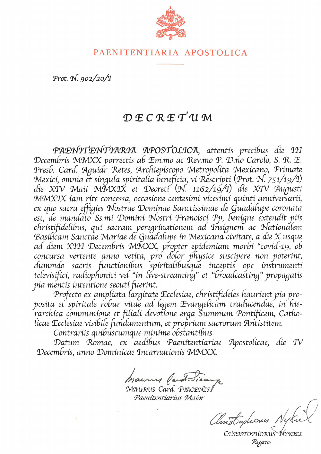

## PAENITENTIARIA APOSTOLICA

Prot. N. 902/20/1

# DECRETUM

PAENITENTIARIA APOSTOLICA, attentis precibus die III Decembris MMXX porrectis ab Em.mo ac Rev.mo P. D.no Carolo, S. R. E. Presb. Card. Aguiar Retes, Archiepiscopo Metropolita Mexicano, Primate Mexici, omnia et singula spiritalia beneficia, vi Rescripti (Prot. N. 751/19/1) die XIV Maii MMXIX et Decreti (N. 1162/19/1) die XIV Augusti MMXIX iam rite concessa, occasione centesimi vicesimi quinti anniversarii, ex quo sacra effígies Nostrae Dominae Sanctissimae de Guadalupe coronata est, de mandato Ss.mí Domíní Nostrí Francisci Pp, benigne extendit piis christifidelibus, qui sacram peregrinationem ad Insignem ac Nationalem Basilicam Sanctae Mariae de Guadalupe in Mexicana civitate, a die X usque ad diem XIII Decembris MMXX, propter epidemiam morbi "covid-19, ob concursa vertente anno vetita, pro dolor physice suscipere non poterint, dummdo sacris functionibus spiritalibusque inceptis ope instrumenti televisifici, radiophonici vel "in live-streaming" et "broadcasting" propagatis pia mentis intentione secuti fuerint.

Profecto ex ampliata largitate Ecclesiae, christifideles haurient pia proposita et spiritale robur vitae ad legem Evangelicam traducendae, in hie-<br>rarchica communione et filiali devotione erga Summum Pontificem, Catholicae Ecclesiae visibile fundamentum, et proprium sacrorum Antistitem.

Contrariis quibuscumque minime obstantibus.

Datum Romae, ex aedíbus Paenitentiariae Apostolicae, die IV Decembris, anno Dominicae Incarnationis MMXX.

mauries Var

MAURUS Card, PIACENZA Paenítentíaríus Maior

Christophones Nyte

CHRISTOPHO<sup>®</sup> NYKIEL Regens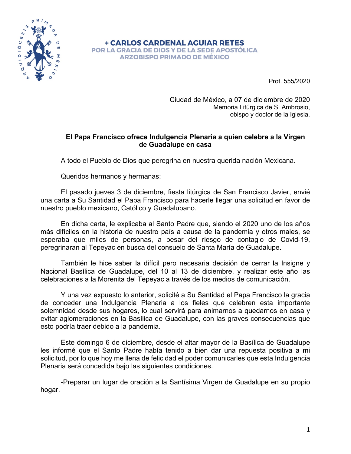

**+ CARLOS CARDENAL AGUIAR RETES** POR LA GRACIA DE DIOS Y DE LA SEDE APOSTÓLICA **ARZOBISPO PRIMADO DE MÉXICO** 

Prot. 555/2020

Ciudad de México, a 07 de diciembre de 2020 Memoria Litúrgica de S. Ambrosio, obispo y doctor de la Iglesia.

#### **El Papa Francisco ofrece Indulgencia Plenaria a quien celebre a la Virgen de Guadalupe en casa**

A todo el Pueblo de Dios que peregrina en nuestra querida nación Mexicana.

Queridos hermanos y hermanas:

El pasado jueves 3 de diciembre, fiesta litúrgica de San Francisco Javier, envié una carta a Su Santidad el Papa Francisco para hacerle llegar una solicitud en favor de nuestro pueblo mexicano, Católico y Guadalupano.

En dicha carta, le explicaba al Santo Padre que, siendo el 2020 uno de los años más difíciles en la historia de nuestro país a causa de la pandemia y otros males, se esperaba que miles de personas, a pesar del riesgo de contagio de Covid-19, peregrinaran al Tepeyac en busca del consuelo de Santa María de Guadalupe.

También le hice saber la difícil pero necesaria decisión de cerrar la Insigne y Nacional Basílica de Guadalupe, del 10 al 13 de diciembre, y realizar este año las celebraciones a la Morenita del Tepeyac a través de los medios de comunicación.

Y una vez expuesto lo anterior, solicité a Su Santidad el Papa Francisco la gracia de conceder una Indulgencia Plenaria a los fieles que celebren esta importante solemnidad desde sus hogares, lo cual servirá para animarnos a quedarnos en casa y evitar aglomeraciones en la Basílica de Guadalupe, con las graves consecuencias que esto podría traer debido a la pandemia.

Este domingo 6 de diciembre, desde el altar mayor de la Basílica de Guadalupe les informé que el Santo Padre había tenido a bien dar una repuesta positiva a mi solicitud, por lo que hoy me llena de felicidad el poder comunicarles que esta Indulgencia Plenaria será concedida bajo las siguientes condiciones.

-Preparar un lugar de oración a la Santísima Virgen de Guadalupe en su propio hogar.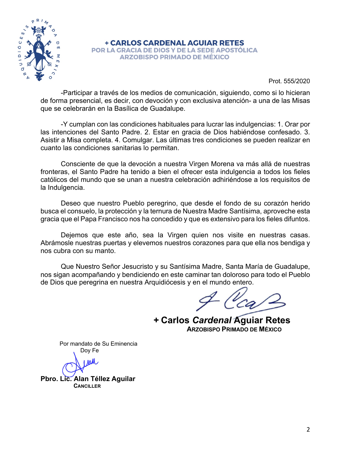

**+ CARLOS CARDENAL AGUIAR RETES** POR LA GRACIA DE DIOS Y DE LA SEDE APOSTÓLICA **ARZOBISPO PRIMADO DE MÉXICO** 

Prot. 555/2020

-Participar a través de los medios de comunicación, siguiendo, como si lo hicieran de forma presencial, es decir, con devoción y con exclusiva atención- a una de las Misas que se celebrarán en la Basílica de Guadalupe.

-Y cumplan con las condiciones habituales para lucrar las indulgencias: 1. Orar por las intenciones del Santo Padre. 2. Estar en gracia de Dios habiéndose confesado. 3. Asistir a Misa completa. 4. Comulgar. Las últimas tres condiciones se pueden realizar en cuanto las condiciones sanitarias lo permitan.

Consciente de que la devoción a nuestra Virgen Morena va más allá de nuestras fronteras, el Santo Padre ha tenido a bien el ofrecer esta indulgencia a todos los fieles católicos del mundo que se unan a nuestra celebración adhiriéndose a los requisitos de la Indulgencia.

Deseo que nuestro Pueblo peregrino, que desde el fondo de su corazón herido busca el consuelo, la protección y la ternura de Nuestra Madre Santísima, aproveche esta gracia que el Papa Francisco nos ha concedido y que es extensivo para los fieles difuntos.

Dejemos que este año, sea la Virgen quien nos visite en nuestras casas. Abrámosle nuestras puertas y elevemos nuestros corazones para que ella nos bendiga y nos cubra con su manto.

Que Nuestro Señor Jesucristo y su Santísima Madre, Santa María de Guadalupe, nos sigan acompañando y bendiciendo en este caminar tan doloroso para todo el Pueblo de Dios que peregrina en nuestra Arquidiócesis y en el mundo entero.

**+ Carlos** *Cardenal* **Aguiar Retes ARZOBISPO PRIMADO DE MÉXICO**

Por mandato de Su Eminencia

Doy Fe

**Pbro. Lic. Alan Téllez Aguilar CANCILLER**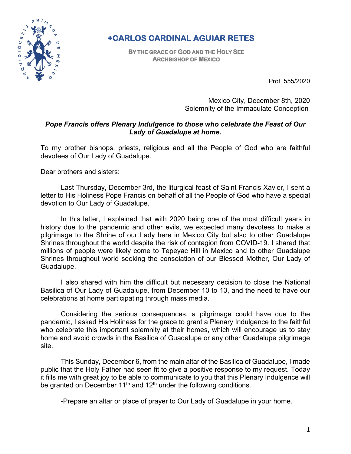

# **+CARLOS CARDINAL AGUIAR RETES**

**BY THE GRACE OF GOD AND THE HOLY SEE ARCHBISHOP OF MEXICO** 

Prot. 555/2020

Mexico City, December 8th, 2020 Solemnity of the Immaculate Conception

### *Pope Francis offers Plenary Indulgence to those who celebrate the Feast of Our Lady of Guadalupe at home.*

To my brother bishops, priests, religious and all the People of God who are faithful devotees of Our Lady of Guadalupe.

Dear brothers and sisters:

Last Thursday, December 3rd, the liturgical feast of Saint Francis Xavier, I sent a letter to His Holiness Pope Francis on behalf of all the People of God who have a special devotion to Our Lady of Guadalupe.

In this letter, I explained that with 2020 being one of the most difficult years in history due to the pandemic and other evils, we expected many devotees to make a pilgrimage to the Shrine of our Lady here in Mexico City but also to other Guadalupe Shrines throughout the world despite the risk of contagion from COVID-19. I shared that millions of people were likely come to Tepeyac Hill in Mexico and to other Guadalupe Shrines throughout world seeking the consolation of our Blessed Mother, Our Lady of Guadalupe.

I also shared with him the difficult but necessary decision to close the National Basilica of Our Lady of Guadalupe, from December 10 to 13, and the need to have our celebrations at home participating through mass media.

Considering the serious consequences, a pilgrimage could have due to the pandemic, I asked His Holiness for the grace to grant a Plenary Indulgence to the faithful who celebrate this important solemnity at their homes, which will encourage us to stay home and avoid crowds in the Basilica of Guadalupe or any other Guadalupe pilgrimage site.

This Sunday, December 6, from the main altar of the Basilica of Guadalupe, I made public that the Holy Father had seen fit to give a positive response to my request. Today it fills me with great joy to be able to communicate to you that this Plenary Indulgence will be granted on December 11<sup>th</sup> and 12<sup>th</sup> under the following conditions.

-Prepare an altar or place of prayer to Our Lady of Guadalupe in your home.